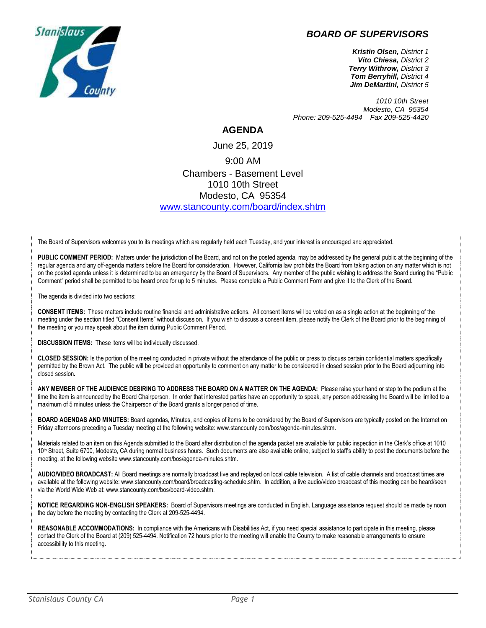## *BOARD OF SUPERVISORS*



*Kristin Olsen, District 1 Vito Chiesa, District 2 Terry Withrow, District 3 Tom Berryhill, District 4 Jim DeMartini, District 5*

*1010 10th Street Modesto, CA 95354 Phone: 209-525-4494 Fax 209-525-4420*

## **AGENDA**

June 25, 2019 9:00 AM Chambers - Basement Level 1010 10th Street Modesto, CA 95354 [www.stancounty.com/board/index.shtm](http://www.stancounty.com/board/index.shtm)

The Board of Supervisors welcomes you to its meetings which are regularly held each Tuesday, and your interest is encouraged and appreciated.

PUBLIC COMMENT PERIOD: Matters under the jurisdiction of the Board, and not on the posted agenda, may be addressed by the general public at the beginning of the regular agenda and any off-agenda matters before the Board for consideration. However, California law prohibits the Board from taking action on any matter which is not on the posted agenda unless it is determined to be an emergency by the Board of Supervisors. Any member of the public wishing to address the Board during the "Public Comment" period shall be permitted to be heard once for up to 5 minutes. Please complete a Public Comment Form and give it to the Clerk of the Board.

The agenda is divided into two sections:

**CONSENT ITEMS:** These matters include routine financial and administrative actions. All consent items will be voted on as a single action at the beginning of the meeting under the section titled "Consent Items" without discussion. If you wish to discuss a consent item, please notify the Clerk of the Board prior to the beginning of the meeting or you may speak about the item during Public Comment Period.

**DISCUSSION ITEMS:** These items will be individually discussed.

**CLOSED SESSION:** Is the portion of the meeting conducted in private without the attendance of the public or press to discuss certain confidential matters specifically permitted by the Brown Act. The public will be provided an opportunity to comment on any matter to be considered in closed session prior to the Board adjourning into closed session**.**

**ANY MEMBER OF THE AUDIENCE DESIRING TO ADDRESS THE BOARD ON A MATTER ON THE AGENDA:** Please raise your hand or step to the podium at the time the item is announced by the Board Chairperson. In order that interested parties have an opportunity to speak, any person addressing the Board will be limited to a maximum of 5 minutes unless the Chairperson of the Board grants a longer period of time.

**BOARD AGENDAS AND MINUTES:** Board agendas, Minutes, and copies of items to be considered by the Board of Supervisors are typically posted on the Internet on Friday afternoons preceding a Tuesday meeting at the following website: www.stancounty.com/bos/agenda-minutes.shtm.

Materials related to an item on this Agenda submitted to the Board after distribution of the agenda packet are available for public inspection in the Clerk's office at 1010 10<sup>th</sup> Street, Suite 6700, Modesto, CA during normal business hours. Such documents are also available online, subject to staff's ability to post the documents before the meeting, at the following website www.stancounty.com/bos/agenda-minutes.shtm.

**AUDIO/VIDEO BROADCAST:** All Board meetings are normally broadcast live and replayed on local cable television. A list of cable channels and broadcast times are available at the following website: www.stancounty.com/board/broadcasting-schedule.shtm. In addition, a live audio/video broadcast of this meeting can be heard/seen via the World Wide Web at: www.stancounty.com/bos/board-video.shtm.

**NOTICE REGARDING NON-ENGLISH SPEAKERS:** Board of Supervisors meetings are conducted in English. Language assistance request should be made by noon the day before the meeting by contacting the Clerk at 209-525-4494.

REASONABLE ACCOMMODATIONS: In compliance with the Americans with Disabilities Act, if you need special assistance to participate in this meeting, please contact the Clerk of the Board at (209) 525-4494. Notification 72 hours prior to the meeting will enable the County to make reasonable arrangements to ensure accessibility to this meeting.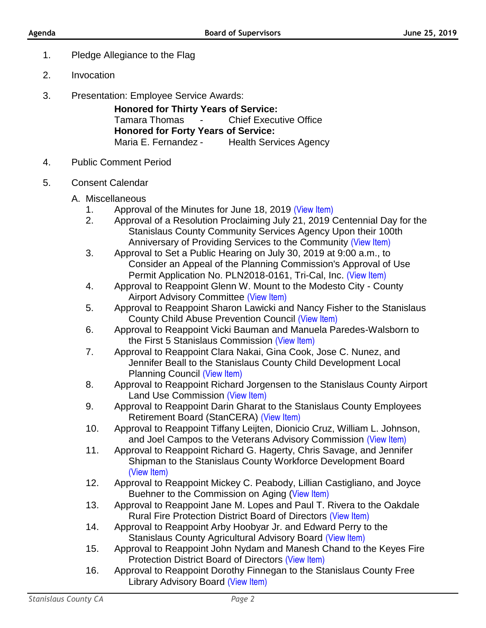- 1. Pledge Allegiance to the Flag
- 2. Invocation
- 3. Presentation: Employee Service Awards:

**Honored for Thirty Years of Service:** Tamara Thomas - Chief Executive Office **Honored for Forty Years of Service:** Maria E. Fernandez - Health Services Agency

- 4. Public Comment Period
- 5. Consent Calendar
	- A. Miscellaneous
		- 1. Approval of the Minutes for June 18, 2019 [\(View Item\)](http://stancounty.com/bos/minutes/2019/min06-18-19.pdf)
		- 2. Approval of a Resolution Proclaiming July 21, 2019 Centennial Day for the Stanislaus County Community Services Agency Upon their 100th Anniversary of Providing Services to the Community [\(View Item\)](http://stancounty.com/bos/agenda/2019/20190625/A02.pdf)
		- 3. Approval to Set a Public Hearing on July 30, 2019 at 9:00 a.m., to Consider an Appeal of the Planning Commission's Approval of Use Permit Application No. PLN2018-0161, Tri-Cal, Inc. [\(View Item\)](http://stancounty.com/bos/agenda/2019/20190625/A03.pdf)
		- 4. Approval to Reappoint Glenn W. Mount to the Modesto City County Airport Advisory Committee [\(View Item\)](http://stancounty.com/bos/agenda/2019/20190625/A04.pdf)
		- 5. Approval to Reappoint Sharon Lawicki and Nancy Fisher to the Stanislaus County Child Abuse Prevention Council [\(View Item\)](http://stancounty.com/bos/agenda/2019/20190625/A05.pdf)
		- 6. Approval to Reappoint Vicki Bauman and Manuela Paredes-Walsborn to the First 5 Stanislaus Commission [\(View Item\)](http://stancounty.com/bos/agenda/2019/20190625/A06.pdf)
		- 7. Approval to Reappoint Clara Nakai, Gina Cook, Jose C. Nunez, and Jennifer Beall to the Stanislaus County Child Development Local Planning Council [\(View Item\)](http://stancounty.com/bos/agenda/2019/20190625/A07.pdf)
		- 8. Approval to Reappoint Richard Jorgensen to the Stanislaus County Airport Land Use Commission [\(View Item\)](http://stancounty.com/bos/agenda/2019/20190625/A08.pdf)
		- 9. Approval to Reappoint Darin Gharat to the Stanislaus County Employees Retirement Board (StanCERA) [\(View Item\)](http://stancounty.com/bos/agenda/2019/20190625/A09.pdf)
		- 10. Approval to Reappoint Tiffany Leijten, Dionicio Cruz, William L. Johnson, and Joel Campos to the Veterans Advisory Commission [\(View Item\)](http://stancounty.com/bos/agenda/2019/20190625/A10.pdf)
		- 11. Approval to Reappoint Richard G. Hagerty, Chris Savage, and Jennifer Shipman to the Stanislaus County Workforce Development Board [\(View Item\)](http://stancounty.com/bos/agenda/2019/20190625/A11.pdf)
		- 12. Approval to Reappoint Mickey C. Peabody, Lillian Castigliano, and Joyce Buehner to the Commission on Aging ([View Item\)](http://stancounty.com/bos/agenda/2019/20190625/A12.pdf)
		- 13. Approval to Reappoint Jane M. Lopes and Paul T. Rivera to the Oakdale Rural Fire Protection District Board of Directors [\(View Item\)](http://stancounty.com/bos/agenda/2019/20190625/A13.pdf)
		- 14. Approval to Reappoint Arby Hoobyar Jr. and Edward Perry to the Stanislaus County Agricultural Advisory Board [\(View Item\)](http://stancounty.com/bos/agenda/2019/20190625/A14.pdf)
		- 15. Approval to Reappoint John Nydam and Manesh Chand to the Keyes Fire Protection District Board of Directors [\(View Item\)](http://stancounty.com/bos/agenda/2019/20190625/A15.pdf)
		- 16. Approval to Reappoint Dorothy Finnegan to the Stanislaus County Free Library Advisory Board [\(View Item\)](http://stancounty.com/bos/agenda/2019/20190625/A16.pdf)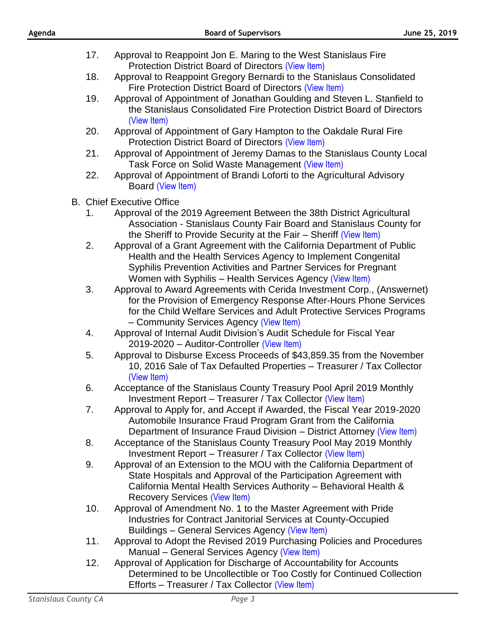| Agenda                      | <b>Board of Supervisors</b>                                                                                                                                                                                                                                                   | June 25, 2019 |
|-----------------------------|-------------------------------------------------------------------------------------------------------------------------------------------------------------------------------------------------------------------------------------------------------------------------------|---------------|
|                             | 17.<br>Approval to Reappoint Jon E. Maring to the West Stanislaus Fire                                                                                                                                                                                                        |               |
|                             | Protection District Board of Directors (View Item)<br>Approval to Reappoint Gregory Bernardi to the Stanislaus Consolidated<br>18.<br>Fire Protection District Board of Directors (View Item)                                                                                 |               |
|                             | 19.<br>Approval of Appointment of Jonathan Goulding and Steven L. Stanfield to<br>the Stanislaus Consolidated Fire Protection District Board of Directors<br>(View Item)                                                                                                      |               |
|                             | 20.<br>Approval of Appointment of Gary Hampton to the Oakdale Rural Fire<br>Protection District Board of Directors (View Item)                                                                                                                                                |               |
|                             | Approval of Appointment of Jeremy Damas to the Stanislaus County Local<br>21.<br>Task Force on Solid Waste Management (View Item)                                                                                                                                             |               |
|                             | 22.<br>Approval of Appointment of Brandi Loforti to the Agricultural Advisory<br>Board (View Item)                                                                                                                                                                            |               |
|                             | <b>B.</b> Chief Executive Office                                                                                                                                                                                                                                              |               |
|                             | Approval of the 2019 Agreement Between the 38th District Agricultural<br>1.<br>Association - Stanislaus County Fair Board and Stanislaus County for<br>the Sheriff to Provide Security at the Fair - Sheriff (View Item)                                                      |               |
|                             | 2.<br>Approval of a Grant Agreement with the California Department of Public<br>Health and the Health Services Agency to Implement Congenital<br>Syphilis Prevention Activities and Partner Services for Pregnant<br>Women with Syphilis - Health Services Agency (View Item) |               |
|                             | 3.<br>Approval to Award Agreements with Cerida Investment Corp., (Answernet)<br>for the Provision of Emergency Response After-Hours Phone Services<br>for the Child Welfare Services and Adult Protective Services Programs<br>- Community Services Agency (View Item)        |               |
|                             | Approval of Internal Audit Division's Audit Schedule for Fiscal Year<br>4.<br>2019-2020 - Auditor-Controller (View Item)                                                                                                                                                      |               |
|                             | Approval to Disburse Excess Proceeds of \$43,859.35 from the November<br>5.<br>10, 2016 Sale of Tax Defaulted Properties - Treasurer / Tax Collector<br>(View Item)                                                                                                           |               |
|                             | Acceptance of the Stanislaus County Treasury Pool April 2019 Monthly<br>6.<br>Investment Report - Treasurer / Tax Collector (View Item)                                                                                                                                       |               |
|                             | Approval to Apply for, and Accept if Awarded, the Fiscal Year 2019-2020<br>7.<br>Automobile Insurance Fraud Program Grant from the California<br>Department of Insurance Fraud Division - District Attorney (View Item)                                                       |               |
|                             | Acceptance of the Stanislaus County Treasury Pool May 2019 Monthly<br>8.<br>Investment Report - Treasurer / Tax Collector (View Item)                                                                                                                                         |               |
|                             | 9.<br>Approval of an Extension to the MOU with the California Department of<br>State Hospitals and Approval of the Participation Agreement with<br>California Mental Health Services Authority - Behavioral Health &<br><b>Recovery Services (View Item)</b>                  |               |
|                             | Approval of Amendment No. 1 to the Master Agreement with Pride<br>10.<br>Industries for Contract Janitorial Services at County-Occupied<br>Buildings - General Services Agency (View Item)                                                                                    |               |
|                             | Approval to Adopt the Revised 2019 Purchasing Policies and Procedures<br>11.<br>Manual - General Services Agency (View Item)                                                                                                                                                  |               |
|                             | 12.<br>Approval of Application for Discharge of Accountability for Accounts<br>Determined to be Uncollectible or Too Costly for Continued Collection<br>Efforts - Treasurer / Tax Collector (View Item)                                                                       |               |
| <b>Stanislaus County CA</b> | Page 3                                                                                                                                                                                                                                                                        |               |
|                             |                                                                                                                                                                                                                                                                               |               |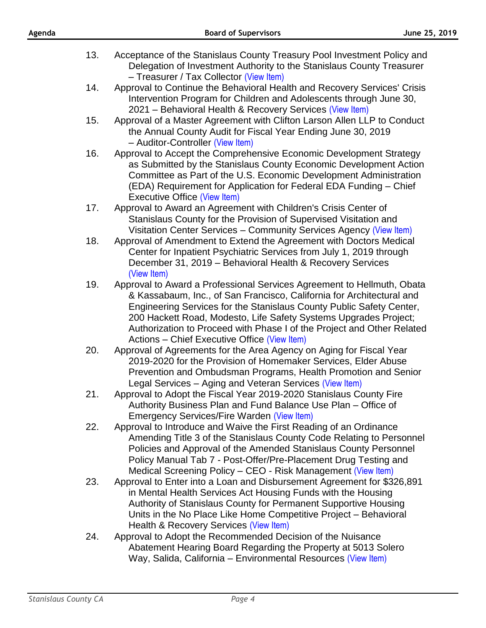- 13. Acceptance of the Stanislaus County Treasury Pool Investment Policy and Delegation of Investment Authority to the Stanislaus County Treasurer – Treasurer / Tax Collector [\(View Item\)](http://stancounty.com/bos/agenda/2019/20190625/B13.pdf)
- 14. Approval to Continue the Behavioral Health and Recovery Services' Crisis Intervention Program for Children and Adolescents through June 30, 2021 – Behavioral Health & Recovery Services [\(View Item\)](http://stancounty.com/bos/agenda/2019/20190625/B14.pdf)
- 15. Approval of a Master Agreement with Clifton Larson Allen LLP to Conduct the Annual County Audit for Fiscal Year Ending June 30, 2019 – Auditor-Controller [\(View Item\)](http://stancounty.com/bos/agenda/2019/20190625/B15.pdf)
- 16. Approval to Accept the Comprehensive Economic Development Strategy as Submitted by the Stanislaus County Economic Development Action Committee as Part of the U.S. Economic Development Administration (EDA) Requirement for Application for Federal EDA Funding – Chief Executive Office [\(View Item\)](http://stancounty.com/bos/agenda/2019/20190625/B16.pdf)
- 17. Approval to Award an Agreement with Children's Crisis Center of Stanislaus County for the Provision of Supervised Visitation and Visitation Center Services – Community Services Agency [\(View Item\)](http://stancounty.com/bos/agenda/2019/20190625/B17.pdf)
- 18. Approval of Amendment to Extend the Agreement with Doctors Medical Center for Inpatient Psychiatric Services from July 1, 2019 through December 31, 2019 – Behavioral Health & Recovery Services [\(View Item\)](http://stancounty.com/bos/agenda/2019/20190625/B18.pdf)
- 19. Approval to Award a Professional Services Agreement to Hellmuth, Obata & Kassabaum, Inc., of San Francisco, California for Architectural and Engineering Services for the Stanislaus County Public Safety Center, 200 Hackett Road, Modesto, Life Safety Systems Upgrades Project; Authorization to Proceed with Phase I of the Project and Other Related Actions – Chief Executive Office [\(View Item\)](http://stancounty.com/bos/agenda/2019/20190625/B19.pdf)
- 20. Approval of Agreements for the Area Agency on Aging for Fiscal Year 2019-2020 for the Provision of Homemaker Services, Elder Abuse Prevention and Ombudsman Programs, Health Promotion and Senior Legal Services – Aging and Veteran Services [\(View Item\)](http://stancounty.com/bos/agenda/2019/20190625/B20.pdf)
- 21. Approval to Adopt the Fiscal Year 2019-2020 Stanislaus County Fire Authority Business Plan and Fund Balance Use Plan – Office of Emergency Services/Fire Warden [\(View Item\)](http://stancounty.com/bos/agenda/2019/20190625/B21.pdf)
- 22. Approval to Introduce and Waive the First Reading of an Ordinance Amending Title 3 of the Stanislaus County Code Relating to Personnel Policies and Approval of the Amended Stanislaus County Personnel Policy Manual Tab 7 - Post-Offer/Pre-Placement Drug Testing and Medical Screening Policy – CEO - Risk Management [\(View Item\)](http://stancounty.com/bos/agenda/2019/20190625/B22.pdf)
- 23. Approval to Enter into a Loan and Disbursement Agreement for \$326,891 in Mental Health Services Act Housing Funds with the Housing Authority of Stanislaus County for Permanent Supportive Housing Units in the No Place Like Home Competitive Project – Behavioral Health & Recovery Services [\(View Item\)](http://stancounty.com/bos/agenda/2019/20190625/B23.pdf)
- 24. Approval to Adopt the Recommended Decision of the Nuisance Abatement Hearing Board Regarding the Property at 5013 Solero Way, Salida, California – Environmental Resources [\(View Item\)](http://stancounty.com/bos/agenda/2019/20190625/B24.pdf)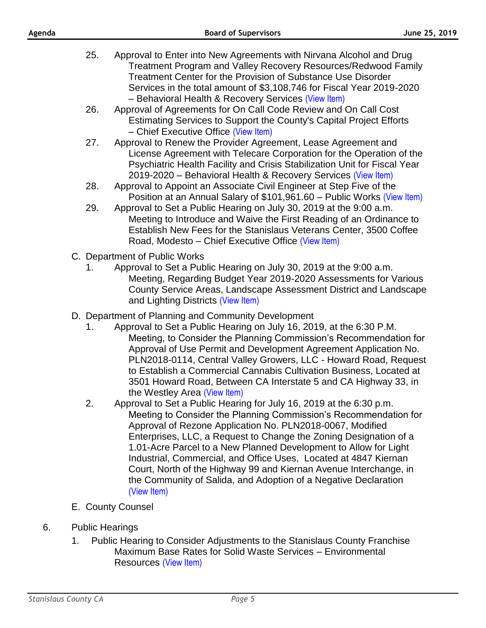- 25. Approval to Enter into New Agreements with Nirvana Alcohol and Drug Treatment Program and Valley Recovery Resources/Redwood Family Treatment Center for the Provision of Substance Use Disorder Services in the total amount of \$3,108,746 for Fiscal Year 2019-2020 – Behavioral Health & Recovery Services [\(View Item\)](http://stancounty.com/bos/agenda/2019/20190625/B25.pdf)
- 26. Approval of Agreements for On Call Code Review and On Call Cost Estimating Services to Support the County's Capital Project Efforts – Chief Executive Office [\(View Item\)](http://stancounty.com/bos/agenda/2019/20190625/B26.pdf)
- 27. Approval to Renew the Provider Agreement, Lease Agreement and License Agreement with Telecare Corporation for the Operation of the Psychiatric Health Facility and Crisis Stabilization Unit for Fiscal Year 2019-2020 – Behavioral Health & Recovery Services [\(View Item\)](http://stancounty.com/bos/agenda/2019/20190625/B27.pdf)
- 28. Approval to Appoint an Associate Civil Engineer at Step Five of the Position at an Annual Salary of \$101,961.60 – Public Works [\(View Item\)](http://stancounty.com/bos/agenda/2019/20190625/B28.pdf)
- 29. Approval to Set a Public Hearing on July 30, 2019 at the 9:00 a.m. Meeting to Introduce and Waive the First Reading of an Ordinance to Establish New Fees for the Stanislaus Veterans Center, 3500 Coffee Road, Modesto – Chief Executive Office [\(View Item\)](http://stancounty.com/bos/agenda/2019/20190625/B29.pdf)
- C. Department of Public Works
	- 1. Approval to Set a Public Hearing on July 30, 2019 at the 9:00 a.m. Meeting, Regarding Budget Year 2019-2020 Assessments for Various County Service Areas, Landscape Assessment District and Landscape and Lighting Districts [\(View Item\)](http://stancounty.com/bos/agenda/2019/20190625/C01.pdf)
- D. Department of Planning and Community Development
	- 1. Approval to Set a Public Hearing on July 16, 2019, at the 6:30 P.M. Meeting, to Consider the Planning Commission's Recommendation for Approval of Use Permit and Development Agreement Application No. PLN2018-0114, Central Valley Growers, LLC - Howard Road, Request to Establish a Commercial Cannabis Cultivation Business, Located at 3501 Howard Road, Between CA Interstate 5 and CA Highway 33, in the Westley Area [\(View Item\)](http://stancounty.com/bos/agenda/2019/20190625/D01.pdf)
	- 2. Approval to Set a Public Hearing for July 16, 2019 at the 6:30 p.m. Meeting to Consider the Planning Commission's Recommendation for Approval of Rezone Application No. PLN2018-0067, Modified Enterprises, LLC, a Request to Change the Zoning Designation of a 1.01-Acre Parcel to a New Planned Development to Allow for Light Industrial, Commercial, and Office Uses, Located at 4847 Kiernan Court, North of the Highway 99 and Kiernan Avenue Interchange, in the Community of Salida, and Adoption of a Negative Declaration [\(View Item\)](http://stancounty.com/bos/agenda/2019/20190625/D02.pdf)
- E. County Counsel
- 6. Public Hearings
	- 1. Public Hearing to Consider Adjustments to the Stanislaus County Franchise Maximum Base Rates for Solid Waste Services – Environmental Resources [\(View Item\)](http://stancounty.com/bos/agenda/2019/20190625/PH01.pdf)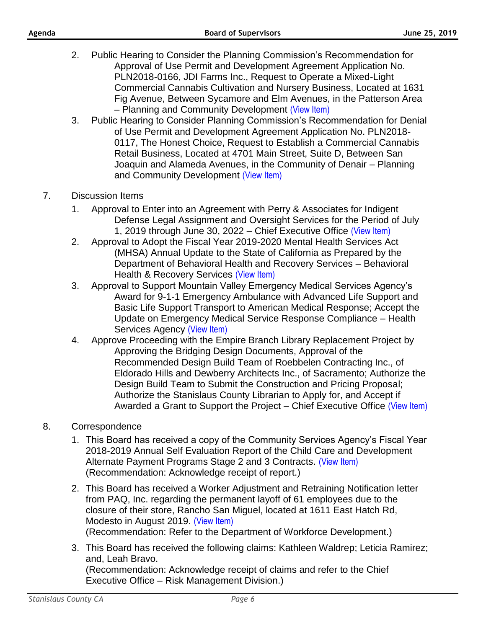- 2. Public Hearing to Consider the Planning Commission's Recommendation for Approval of Use Permit and Development Agreement Application No. PLN2018-0166, JDI Farms Inc., Request to Operate a Mixed-Light Commercial Cannabis Cultivation and Nursery Business, Located at 1631 Fig Avenue, Between Sycamore and Elm Avenues, in the Patterson Area – Planning and Community Development [\(View Item\)](http://stancounty.com/bos/agenda/2019/20190625/PH02.pdf)
- 3. Public Hearing to Consider Planning Commission's Recommendation for Denial of Use Permit and Development Agreement Application No. PLN2018- 0117, The Honest Choice, Request to Establish a Commercial Cannabis Retail Business, Located at 4701 Main Street, Suite D, Between San Joaquin and Alameda Avenues, in the Community of Denair – Planning and Community Development [\(View Item\)](http://stancounty.com/bos/agenda/2019/20190625/PH03.pdf)
- 7. Discussion Items
	- 1. Approval to Enter into an Agreement with Perry & Associates for Indigent Defense Legal Assignment and Oversight Services for the Period of July 1, 2019 through June 30, 2022 – Chief Executive Office [\(View Item\)](http://stancounty.com/bos/agenda/2019/20190625/DIS01.pdf)
	- 2. Approval to Adopt the Fiscal Year 2019-2020 Mental Health Services Act (MHSA) Annual Update to the State of California as Prepared by the Department of Behavioral Health and Recovery Services – Behavioral Health & Recovery Services [\(View Item\)](http://stancounty.com/bos/agenda/2019/20190625/DIS02.pdf)
	- 3. Approval to Support Mountain Valley Emergency Medical Services Agency's Award for 9-1-1 Emergency Ambulance with Advanced Life Support and Basic Life Support Transport to American Medical Response; Accept the Update on Emergency Medical Service Response Compliance – Health Services Agency [\(View Item\)](http://stancounty.com/bos/agenda/2019/20190625/DIS03.pdf)
	- 4. Approve Proceeding with the Empire Branch Library Replacement Project by Approving the Bridging Design Documents, Approval of the Recommended Design Build Team of Roebbelen Contracting Inc., of Eldorado Hills and Dewberry Architects Inc., of Sacramento; Authorize the Design Build Team to Submit the Construction and Pricing Proposal; Authorize the Stanislaus County Librarian to Apply for, and Accept if Awarded a Grant to Support the Project – Chief Executive Office [\(View Item\)](http://stancounty.com/bos/agenda/2019/20190625/DIS04.pdf)
- 8. Correspondence
	- 1. This Board has received a copy of the Community Services Agency's Fiscal Year 2018-2019 Annual Self Evaluation Report of the Child Care and Development Alternate Payment Programs Stage 2 and 3 Contracts. [\(View Item\)](http://stancounty.com/bos/agenda/2019/20190625/Corr01.pdf) (Recommendation: Acknowledge receipt of report.)
	- 2. This Board has received a Worker Adjustment and Retraining Notification letter from PAQ, Inc. regarding the permanent layoff of 61 employees due to the closure of their store, Rancho San Miguel, located at 1611 East Hatch Rd, Modesto in August 2019. [\(View Item\)](http://stancounty.com/bos/agenda/2019/20190625/Corr02.pdf) (Recommendation: Refer to the Department of Workforce Development.)
	- 3. This Board has received the following claims: Kathleen Waldrep; Leticia Ramirez; and, Leah Bravo. (Recommendation: Acknowledge receipt of claims and refer to the Chief Executive Office – Risk Management Division.)